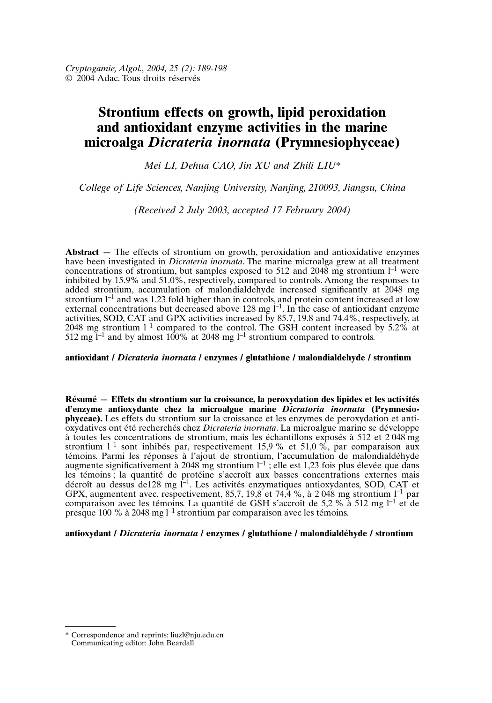# **Strontium effects on growth, lipid peroxidation and antioxidant enzyme activities in the marine microalga** *Dicrateria inornata* **(Prymnesiophyceae)**

*Mei LI, Dehua CAO, Jin XU and Zhili LIU\**

*College of Life Sciences, Nanjing University, Nanjing, 210093, Jiangsu, China*

*(Received 2 July 2003, accepted 17 February 2004)*

**Abstract** – The effects of strontium on growth, peroxidation and antioxidative enzymes have been investigated in *Dicrateria inornata*. The marine microalga grew at all treatment concentrations of strontium, but samples exposed to 512 and  $2048$  mg strontium  $l^{-1}$  were inhibited by 15.9% and 51.0%, respectively, compared to controls. Among the responses to added strontium, accumulation of malondialdehyde increased significantly at 2048 mg strontium  $l^{-1}$  and was 1.23 fold higher than in controls, and protein content increased at low external concentrations but decreased above 128 mg  $1^{-1}$ . In the case of antioxidant enzyme activities, SOD, CAT and GPX activities increased by 85.7, 19.8 and 74.4%, respectively, at 2048 mg strontium  $I^{-1}$  compared to the control. The GSH content increased by 5.2% at  $512$  mg l<sup>-1</sup> and by almost 100% at 2048 mg l<sup>-1</sup> strontium compared to controls.

# **antioxidant /** *Dicrateria inornata* **/ enzymes / glutathione / malondialdehyde / strontium**

**Résumé — Effets du strontium sur la croissance, la peroxydation des lipides et les activités d'enzyme antioxydante chez la microalgue marine** *Dicratoria inornata* **(Prymnesiophyceae).** Les effets du strontium sur la croissance et les enzymes de peroxydation et antioxydatives ont été recherchés chez *Dicrateria inornata*. La microalgue marine se développe à toutes les concentrations de strontium, mais les échantillons exposés à 512 et 2 048 mg strontium  $l^{-1}$  sont inhibés par, respectivement 15,9 % et 51,0 %, par comparaison aux témoins. Parmi les réponses à l'ajout de strontium, l'accumulation de malondialdéhyde augmente significativement à 2048 mg strontium  $l^{-1}$ ; elle est 1,23 fois plus élevée que dans les témoins ; la quantité de protéine s'accroît aux basses concentrations externes mais décroît au dessus de128 mg l<sup>-1</sup>. Les activités enzymatiques antioxydantes, SOD, CAT et GPX, augmentent avec, respectivement, 85,7, 19,8 et 74,4 %, à 2 048 mg strontium  $l^{-1}$  par comparaison avec les témoins. La quantité de GSH s'accroît de 5,2 % à 512 mg  $l^{-1}$  et de presque  $100\%$  à  $2048$  mg  $l^{-1}$  strontium par comparaison avec les témoins.

## **antioxydant /** *Dicrateria inornata* **/ enzymes / glutathione / malondialdéhyde / strontium**

<sup>\*</sup> Correspondence and reprints: liuzl@nju.edu.cn Communicating editor: John Beardall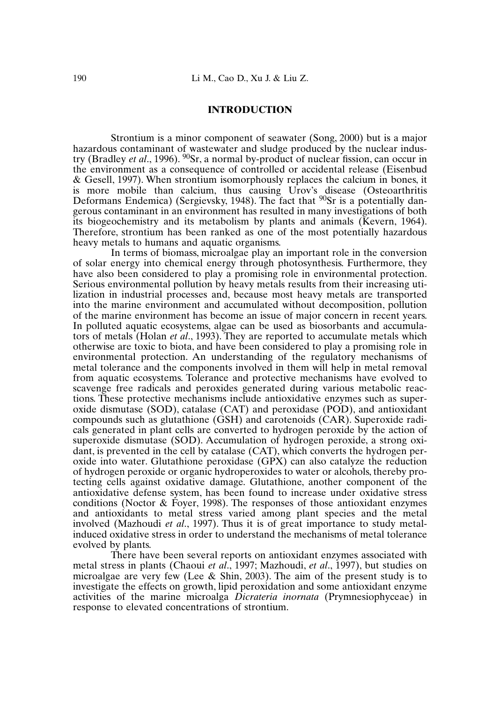## **INTRODUCTION**

Strontium is a minor component of seawater (Song, 2000) but is a major hazardous contaminant of wastewater and sludge produced by the nuclear industry (Bradley *et al*., 1996). 90Sr, a normal by-product of nuclear fission, can occur in the environment as a consequence of controlled or accidental release (Eisenbud & Gesell, 1997). When strontium isomorphously replaces the calcium in bones, it is more mobile than calcium, thus causing Urov's disease (Osteoarthritis Deformans Endemica) (Sergievsky, 1948). The fact that  $90Sr$  is a potentially dangerous contaminant in an environment has resulted in many investigations of both its biogeochemistry and its metabolism by plants and animals (Kevern, 1964). Therefore, strontium has been ranked as one of the most potentially hazardous heavy metals to humans and aquatic organisms.

In terms of biomass, microalgae play an important role in the conversion of solar energy into chemical energy through photosynthesis. Furthermore, they have also been considered to play a promising role in environmental protection. Serious environmental pollution by heavy metals results from their increasing utilization in industrial processes and, because most heavy metals are transported into the marine environment and accumulated without decomposition, pollution of the marine environment has become an issue of major concern in recent years. In polluted aquatic ecosystems, algae can be used as biosorbants and accumulators of metals (Holan *et al*., 1993). They are reported to accumulate metals which otherwise are toxic to biota, and have been considered to play a promising role in environmental protection. An understanding of the regulatory mechanisms of metal tolerance and the components involved in them will help in metal removal from aquatic ecosystems. Tolerance and protective mechanisms have evolved to scavenge free radicals and peroxides generated during various metabolic reactions. These protective mechanisms include antioxidative enzymes such as superoxide dismutase (SOD), catalase (CAT) and peroxidase (POD), and antioxidant compounds such as glutathione (GSH) and carotenoids (CAR). Superoxide radicals generated in plant cells are converted to hydrogen peroxide by the action of superoxide dismutase (SOD). Accumulation of hydrogen peroxide, a strong oxidant, is prevented in the cell by catalase (CAT), which converts the hydrogen peroxide into water. Glutathione peroxidase (GPX) can also catalyze the reduction of hydrogen peroxide or organic hydroperoxides to water or alcohols, thereby protecting cells against oxidative damage. Glutathione, another component of the antioxidative defense system, has been found to increase under oxidative stress conditions (Noctor & Foyer, 1998). The responses of those antioxidant enzymes and antioxidants to metal stress varied among plant species and the metal involved (Mazhoudi *et al*., 1997). Thus it is of great importance to study metalinduced oxidative stress in order to understand the mechanisms of metal tolerance evolved by plants.

There have been several reports on antioxidant enzymes associated with metal stress in plants (Chaoui *et al*., 1997; Mazhoudi, *et al*., 1997), but studies on microalgae are very few (Lee & Shin, 2003). The aim of the present study is to investigate the effects on growth, lipid peroxidation and some antioxidant enzyme activities of the marine microalga *Dicrateria inornata* (Prymnesiophyceae) in response to elevated concentrations of strontium.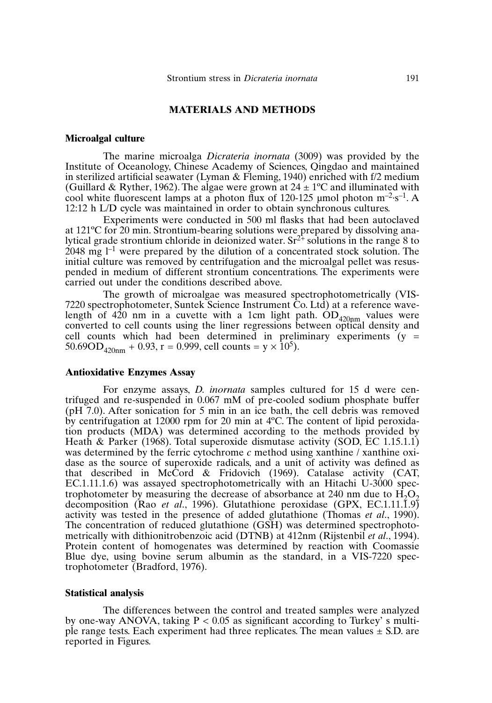# **MATERIALS AND METHODS**

## **Microalgal culture**

The marine microalga *Dicrateria inornata* (3009) was provided by the Institute of Oceanology, Chinese Academy of Sciences, Qingdao and maintained in sterilized artificial seawater (Lyman & Fleming, 1940) enriched with f/2 medium (Guillard & Ryther, 1962). The algae were grown at  $24 \pm 1$ <sup>o</sup>C and illuminated with cool white fluorescent lamps at a photon flux of 120-125 µmol photon  $m^{-2}$ ·s<sup>-1</sup>. A 12:12 h L/D cycle was maintained in order to obtain synchronous cultures.

Experiments were conducted in 500 ml flasks that had been autoclaved at 121ºC for 20 min. Strontium-bearing solutions were prepared by dissolving analytical grade strontium chloride in deionized water.  $Sr^{2+}$  solutions in the range 8 to  $2048$  mg  $l^{-1}$  were prepared by the dilution of a concentrated stock solution. The initial culture was removed by centrifugation and the microalgal pellet was resuspended in medium of different strontium concentrations. The experiments were carried out under the conditions described above.

The growth of microalgae was measured spectrophotometrically (VIS-7220 spectrophotometer, Suntek Science Instrument Co. Ltd) at a reference wavelength of 420 nm in a cuvette with a 1cm light path.  $OD_{420\text{nm}}$  values were converted to cell counts using the liner regressions between optical density and cell counts which had been determined in preliminary experiments  $(y =$  $50.69OD_{420nm} + 0.93$ , r = 0.999, cell counts = y  $\times 10^5$ ).

## **Antioxidative Enzymes Assay**

For enzyme assays, *D. inornata* samples cultured for 15 d were centrifuged and re-suspended in 0.067 mM of pre-cooled sodium phosphate buffer (pH 7.0). After sonication for 5 min in an ice bath, the cell debris was removed by centrifugation at 12000 rpm for 20 min at 4ºC. The content of lipid peroxidation products (MDA) was determined according to the methods provided by Heath & Parker (1968). Total superoxide dismutase activity (SOD, EC 1.15.1.1) was determined by the ferric cytochrome *c* method using xanthine / xanthine oxidase as the source of superoxide radicals, and a unit of activity was defined as that described in McCord & Fridovich (1969). Catalase activity (CAT, EC.1.11.1.6) was assayed spectrophotometrically with an Hitachi U-3000 spectrophotometer by measuring the decrease of absorbance at 240 nm due to  $H_2O_2$ decomposition (Rao *et al.*, 1996). Glutathione peroxidase (GPX, EC.1.11.1.9) activity was tested in the presence of added glutathione (Thomas *et al*., 1990). The concentration of reduced glutathione (GSH) was determined spectrophotometrically with dithionitrobenzoic acid (DTNB) at 412nm (Rijstenbil *et al*., 1994). Protein content of homogenates was determined by reaction with Coomassie Blue dye, using bovine serum albumin as the standard, in a VIS-7220 spectrophotometer (Bradford, 1976).

## **Statistical analysis**

The differences between the control and treated samples were analyzed by one-way ANOVA, taking  $P < 0.05$  as significant according to Turkey' s multiple range tests. Each experiment had three replicates. The mean values  $\pm$  S.D. are reported in Figures.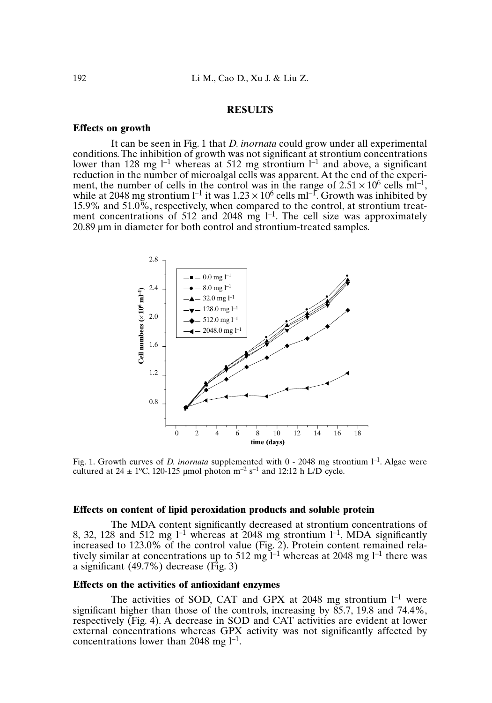## **RESULTS**

## **Effects on growth**

It can be seen in Fig. 1 that *D. inornata* could grow under all experimental  $conditions$ . The inhibition of growth was not significant at strontium concentrations lower than 128 mg  $l^{-1}$  whereas at 512 mg strontium  $l^{-1}$  and above, a significant reduction in the number of microalgal cells was apparent. At the end of the experiment, the number of cells in the control was in the range of  $2.51 \times 10^6$  cells ml<sup>-1</sup>, while at 2048 mg strontium  $l^{-1}$  it was  $1.23 \times 10^6$  cells ml<sup>-1</sup>. Growth was inhibited by 15.9% and 51.0%, respectively, when compared to the control, at strontium treatment concentrations of 512 and 2048 mg  $l^{-1}$ . The cell size was approximately 20.89 µm in diameter for both control and strontium-treated samples.



Fig. 1. Growth curves of *D. inornata* supplemented with 0 - 2048 mg strontium  $l^{-1}$ . Algae were cultured at  $24 \pm 1$ °C, 120-125 µmol photon m<sup>-2</sup> s<sup>-1</sup> and 12:12 h L/D cycle.

## **Effects on content of lipid peroxidation products and soluble protein**

The MDA content significantly decreased at strontium concentrations of 8, 32, 128 and 512 mg  $l^{-1}$  whereas at 2048 mg strontium  $l^{-1}$ , MDA significantly increased to 123.0% of the control value (Fig. 2). Protein content remained relatively similar at concentrations up to 512 mg  $I^{-1}$  whereas at 2048 mg  $I^{-1}$  there was a significant (49.7%) decrease (Fig. 3)

## **Effects on the activities of antioxidant enzymes**

The activities of SOD, CAT and GPX at 2048 mg strontium  $1^{-1}$  were significant higher than those of the controls, increasing by  $85.7$ , 19.8 and 74.4%, respectively (Fig. 4). A decrease in SOD and CAT activities are evident at lower external concentrations whereas GPX activity was not significantly affected by concentrations lower than 2048 mg  $l^{-1}$ .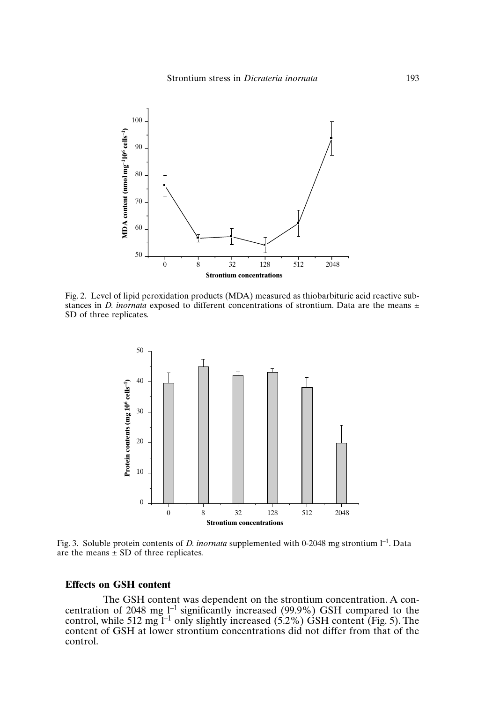

Fig. 2. Level of lipid peroxidation products (MDA) measured as thiobarbituric acid reactive substances in *D. inornata* exposed to different concentrations of strontium. Data are the means  $\pm$ SD of three replicates.



Fig. 3. Soluble protein contents of *D. inornata* supplemented with 0-2048 mg strontium  $l^{-1}$ . Data are the means  $\pm$  SD of three replicates.

## **Effects on GSH content**

The GSH content was dependent on the strontium concentration. A concentration of 2048 mg  $l^{-1}$  significantly increased (99.9%) GSH compared to the control, while 512 mg  $I^{-1}$  only slightly increased (5.2%) GSH content (Fig. 5). The content of GSH at lower strontium concentrations did not differ from that of the control.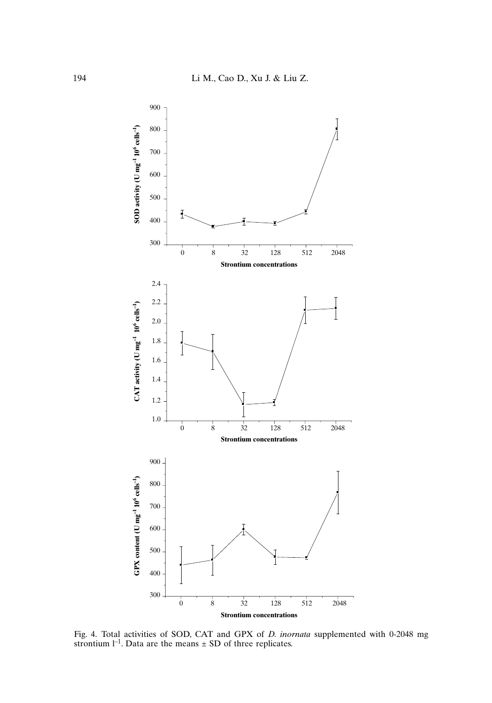

Fig. 4. Total activities of SOD, CAT and GPX of *D. inornata* supplemented with 0-2048 mg strontium  $l^{-1}$ . Data are the means  $\pm$  SD of three replicates.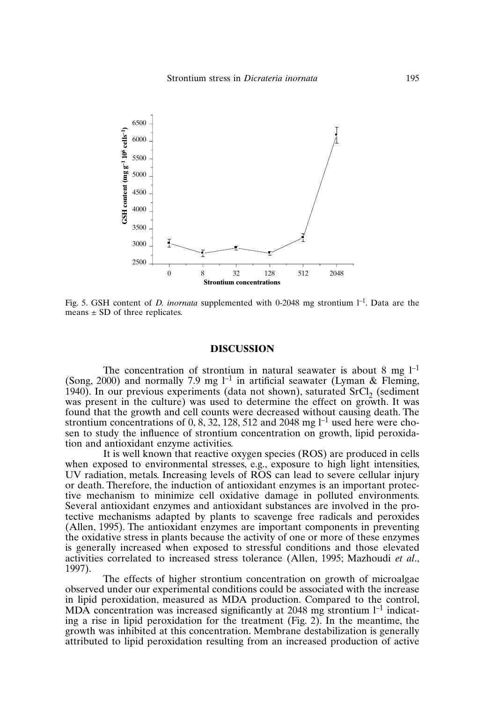

Fig. 5. GSH content of *D. inornata* supplemented with 0-2048 mg strontium  $I^{-1}$ . Data are the means  $\pm$  SD of three replicates.

#### **DISCUSSION**

The concentration of strontium in natural seawater is about 8 mg  $1^{-1}$ (Song, 2000) and normally 7.9 mg  $l^{-1}$  in artificial seawater (Lyman & Fleming, 1940). In our previous experiments (data not shown), saturated  $SrCl<sub>2</sub>$  (sediment was present in the culture) was used to determine the effect on growth. It was found that the growth and cell counts were decreased without causing death. The strontium concentrations of 0, 8, 32, 128, 512 and 2048 mg  $l^{-1}$  used here were chosen to study the influence of strontium concentration on growth, lipid peroxidation and antioxidant enzyme activities.

It is well known that reactive oxygen species (ROS) are produced in cells when exposed to environmental stresses, e.g., exposure to high light intensities, UV radiation, metals. Increasing levels of ROS can lead to severe cellular injury or death. Therefore, the induction of antioxidant enzymes is an important protective mechanism to minimize cell oxidative damage in polluted environments. Several antioxidant enzymes and antioxidant substances are involved in the protective mechanisms adapted by plants to scavenge free radicals and peroxides (Allen, 1995). The antioxidant enzymes are important components in preventing the oxidative stress in plants because the activity of one or more of these enzymes is generally increased when exposed to stressful conditions and those elevated activities correlated to increased stress tolerance (Allen, 1995; Mazhoudi *et al*., 1997).

The effects of higher strontium concentration on growth of microalgae observed under our experimental conditions could be associated with the increase in lipid peroxidation, measured as MDA production. Compared to the control, MDA concentration was increased significantly at 2048 mg strontium  $l^{-1}$  indicating a rise in lipid peroxidation for the treatment (Fig. 2). In the meantime, the growth was inhibited at this concentration. Membrane destabilization is generally attributed to lipid peroxidation resulting from an increased production of active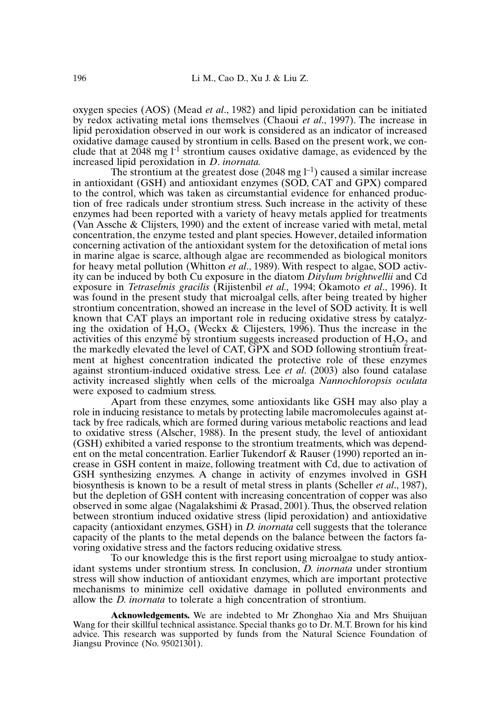oxygen species (AOS) (Mead *et al*., 1982) and lipid peroxidation can be initiated by redox activating metal ions themselves (Chaoui *et al*., 1997). The increase in lipid peroxidation observed in our work is considered as an indicator of increased oxidative damage caused by strontium in cells. Based on the present work, we conclude that at  $2048$  mg  $1<sup>-1</sup>$  strontium causes oxidative damage, as evidenced by the increased lipid peroxidation in *D*. *inornata.*

The strontium at the greatest dose (2048 mg  $l^{-1}$ ) caused a similar increase in antioxidant (GSH) and antioxidant enzymes (SOD, CAT and GPX) compared to the control, which was taken as circumstantial evidence for enhanced production of free radicals under strontium stress. Such increase in the activity of these enzymes had been reported with a variety of heavy metals applied for treatments (Van Assche & Clijsters, 1990) and the extent of increase varied with metal, metal concentration, the enzyme tested and plant species. However, detailed information concerning activation of the antioxidant system for the detoxification of metal ions in marine algae is scarce, although algae are recommended as biological monitors for heavy metal pollution (Whitton *et al*., 1989). With respect to algae, SOD activity can be induced by both Cu exposure in the diatom *Ditylum brightwellii* and Cd exposure in *Tetraselmis gracilis* (Rijistenbil *et al.,* 1994; Okamoto *et al*., 1996). It was found in the present study that microalgal cells, after being treated by higher strontium concentration, showed an increase in the level of SOD activity. It is well known that CAT plays an important role in reducing oxidative stress by catalyzing the oxidation of  $H_2O_2$  (Weckx & Clijesters, 1996). Thus the increase in the activities of this enzyme by strontium suggests increased production of  $H_2O_2$  and the markedly elevated the level of CAT, GPX and SOD following strontium treatment at highest concentration indicated the protective role of these enzymes against strontium-induced oxidative stress. Lee *et al*. (2003) also found catalase activity increased slightly when cells of the microalga *Nannochloropsis oculata* were exposed to cadmium stress.

Apart from these enzymes, some antioxidants like GSH may also play a role in inducing resistance to metals by protecting labile macromolecules against attack by free radicals, which are formed during various metabolic reactions and lead to oxidative stress (Alscher, 1988). In the present study, the level of antioxidant (GSH) exhibited a varied response to the strontium treatments, which was dependent on the metal concentration. Earlier Tukendorf & Rauser (1990) reported an increase in GSH content in maize, following treatment with Cd, due to activation of GSH synthesizing enzymes. A change in activity of enzymes involved in GSH biosynthesis is known to be a result of metal stress in plants (Scheller *et al*., 1987), but the depletion of GSH content with increasing concentration of copper was also observed in some algae (Nagalakshimi & Prasad, 2001). Thus, the observed relation between strontium induced oxidative stress (lipid peroxidation) and antioxidative capacity (antioxidant enzymes, GSH) in *D. inornata* cell suggests that the tolerance capacity of the plants to the metal depends on the balance between the factors favoring oxidative stress and the factors reducing oxidative stress.

To our knowledge this is the first report using microalgae to study antioxidant systems under strontium stress. In conclusion, *D. inornata* under strontium stress will show induction of antioxidant enzymes, which are important protective mechanisms to minimize cell oxidative damage in polluted environments and allow the *D. inornata* to tolerate a high concentration of strontium.

**Acknowledgements.** We are indebted to Mr Zhonghao Xia and Mrs Shuijuan Wang for their skillful technical assistance. Special thanks go to Dr. M.T. Brown for his kind advice. This research was supported by funds from the Natural Science Foundation of Jiangsu Province (No. 95021301).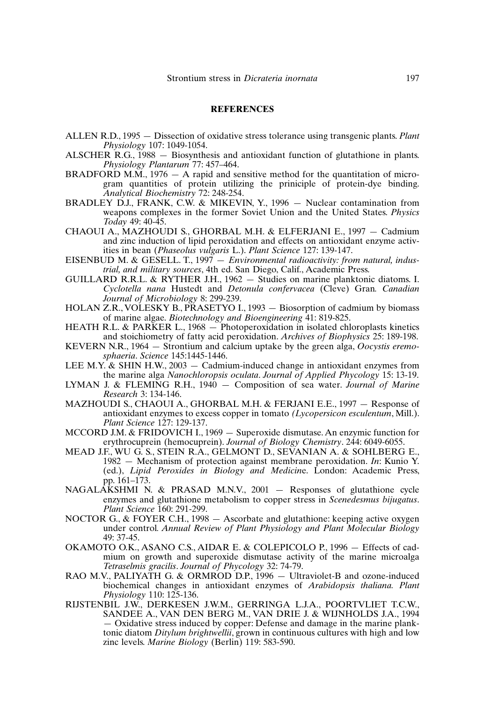## **REFERENCES**

- ALLEN R.D., 1995 Dissection of oxidative stress tolerance using transgenic plants. *Plant Physiology* 107: 1049-1054.
- ALSCHER R.G., 1988 Biosynthesis and antioxidant function of glutathione in plants. *Physiology Plantarum* 77: 457–464.
- BRADFORD M.M.,  $1976 A$  rapid and sensitive method for the quantitation of microgram quantities of protein utilizing the priniciple of protein-dye binding. *Analytical Biochemistry* 72: 248-254.
- BRADLEY D.J., FRANK, C.W. & MIKEVIN, Y., 1996 Nuclear contamination from weapons complexes in the former Soviet Union and the United States. *Physics Today* 49: 40-45.
- CHAOUI A., MAZHOUDI S., GHORBAL M.H. & ELFERJANI E., 1997 Cadmium and zinc induction of lipid peroxidation and effects on antioxidant enzyme activities in bean (*Phaseolus vulgaris* L.). *Plant Science* 127: 139-147.
- EISENBUD M. & GESELL. T., 1997  *Environmental radioactivity: from natural, industrial, and military sources*, 4th ed. San Diego, Calif., Academic Press.
- GUILLARD R.R.L. & RYTHER J.H., 1962 Studies on marine planktonic diatoms. I. *Cyclotella nana* Hustedt and *Detonula confervacea* (Cleve) Gran*. Canadian Journal of Microbiology* 8: 299-239.
- HOLAN Z.R., VOLESKY B., PRASETYO I., 1993 Biosorption of cadmium by biomass of marine algae. *Biotechnology and Bioengineering* 41: 819-825.
- HEATH R.L. & PARKER L., 1968 Photoperoxidation in isolated chloroplasts kinetics and stoichiometry of fatty acid peroxidation. *Archives of Biophysics* 25: 189-198.
- KEVERN N.R., 1964 Strontium and calcium uptake by the green alga, *Oocystis eremosphaeria*. *Science* 145:1445-1446.
- LEE M.Y.  $\&$  SHIN H.W., 2003 Cadmium-induced change in antioxidant enzymes from the marine alga *Nanochloropsis oculata*. *Journal of Applied Phycology* 15: 13-19.
- LYMAN J. & FLEMING R.H., 1940 Composition of sea water. *Journal of Marine Research* 3: 134-146.
- MAZHOUDI S., CHAOUI A., GHORBAL M.H. & FERJANI E.E., 1997 Response of antioxidant enzymes to excess copper in tomato *(Lycopersicon esculentum*, Mill.). *Plant Science* 127: 129-137.
- MCCORD J.M. & FRIDOVICH I., 1969 Superoxide dismutase. An enzymic function for erythrocuprein (hemocuprein). *Journal of Biology Chemistry*. 244: 6049-6055.
- MEAD J.F., WU G. S., STEIN R.A., GELMONT D., SEVANIAN A. & SOHLBERG E., 1982 — Mechanism of protection against membrane peroxidation. *In*: Kunio Y. (ed.), *Lipid Peroxides in Biology and Medicin*e. London: Academic Press, pp. 161–173.
- NAGALAKSHMI N. & PRASAD M.N.V., 2001 Responses of glutathione cycle enzymes and glutathione metabolism to copper stress in *Scenedesmus bijugatus*. *Plant Science* 160: 291-299.
- NOCTOR G., & FOYER C.H., 1998 Ascorbate and glutathione: keeping active oxygen under control*. Annual Review of Plant Physiology and Plant Molecular Biology* 49: 37-45.
- OKAMOTO O.K., ASANO C.S., AIDAR E. & COLEPICOLO P., 1996 Effects of cadmium on growth and superoxide dismutase activity of the marine microalga *Tetraselmis gracilis*. *Journal of Phycology* 32: 74-79.
- RAO M.V., PALIYATH G. & ORMROD D.P., 1996 Ultraviolet-B and ozone-induced biochemical changes in antioxidant enzymes of *Arabidopsis thaliana. Plant Physiology* 110: 125-136.
- RIJSTENBIL J.W., DERKESEN J.W.M., GERRINGA L.J.A., POORTVLIET T.C.W., SANDEE A., VAN DEN BERG M., VAN DRIE J. & WIJNHOLDS J.A., 1994 — Oxidative stress induced by copper: Defense and damage in the marine planktonic diatom *Ditylum brightwellii*, grown in continuous cultures with high and low zinc levels. *Marine Biology* (Berlin) 119: 583-590.